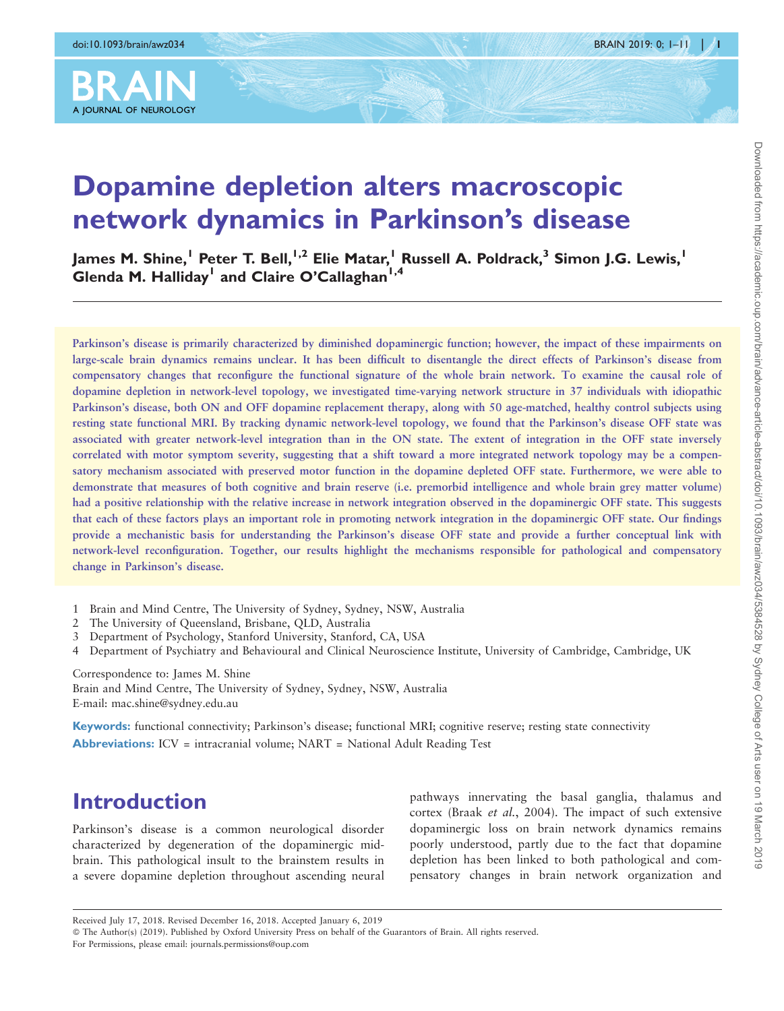

# Dopamine depletion alters macroscopic network dynamics in Parkinson's disease

James M. Shine,<sup>1</sup> Peter T. Bell,<sup>1,2</sup> Elie Matar,<sup>1</sup> Russell A. Poldrack,<sup>3</sup> Simon J.G. Lewis,<sup>1</sup> Glenda M. Halliday<sup>1</sup> and Claire O'Callaghan<sup>1,4</sup>

Parkinson's disease is primarily characterized by diminished dopaminergic function; however, the impact of these impairments on large-scale brain dynamics remains unclear. It has been difficult to disentangle the direct effects of Parkinson's disease from compensatory changes that reconfigure the functional signature of the whole brain network. To examine the causal role of dopamine depletion in network-level topology, we investigated time-varying network structure in 37 individuals with idiopathic Parkinson's disease, both ON and OFF dopamine replacement therapy, along with 50 age-matched, healthy control subjects using resting state functional MRI. By tracking dynamic network-level topology, we found that the Parkinson's disease OFF state was associated with greater network-level integration than in the ON state. The extent of integration in the OFF state inversely correlated with motor symptom severity, suggesting that a shift toward a more integrated network topology may be a compensatory mechanism associated with preserved motor function in the dopamine depleted OFF state. Furthermore, we were able to demonstrate that measures of both cognitive and brain reserve (i.e. premorbid intelligence and whole brain grey matter volume) had a positive relationship with the relative increase in network integration observed in the dopaminergic OFF state. This suggests that each of these factors plays an important role in promoting network integration in the dopaminergic OFF state. Our findings provide a mechanistic basis for understanding the Parkinson's disease OFF state and provide a further conceptual link with network-level reconfiguration. Together, our results highlight the mechanisms responsible for pathological and compensatory change in Parkinson's disease.

- 1 Brain and Mind Centre, The University of Sydney, Sydney, NSW, Australia
- 2 The University of Queensland, Brisbane, QLD, Australia
- 3 Department of Psychology, Stanford University, Stanford, CA, USA
- 4 Department of Psychiatry and Behavioural and Clinical Neuroscience Institute, University of Cambridge, Cambridge, UK

Correspondence to: James M. Shine Brain and Mind Centre, The University of Sydney, Sydney, NSW, Australia E-mail: mac.shine@sydney.edu.au

Keywords: functional connectivity; Parkinson's disease; functional MRI; cognitive reserve; resting state connectivity Abbreviations: ICV = intracranial volume; NART = National Adult Reading Test

# Introduction

Parkinson's disease is a common neurological disorder characterized by degeneration of the dopaminergic midbrain. This pathological insult to the brainstem results in a severe dopamine depletion throughout ascending neural pathways innervating the basal ganglia, thalamus and cortex (Braak et al.[, 2004\)](#page-9-0). The impact of such extensive dopaminergic loss on brain network dynamics remains poorly understood, partly due to the fact that dopamine depletion has been linked to both pathological and compensatory changes in brain network organization and

© The Author(s) (2019). Published by Oxford University Press on behalf of the Guarantors of Brain. All rights reserved. For Permissions, please email: journals.permissions@oup.com

Received July 17, 2018. Revised December 16, 2018. Accepted January 6, 2019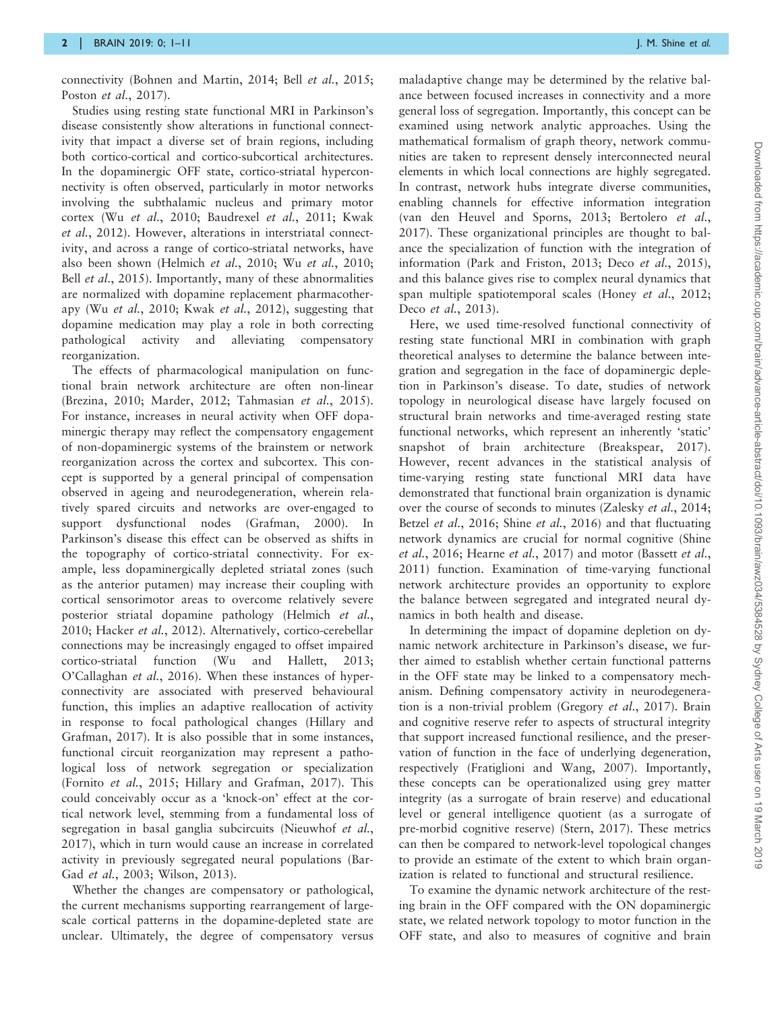connectivity [\(Bohnen and Martin, 2014;](#page-9-0) Bell et al.[, 2015;](#page-9-0) Poston et al.[, 2017\)](#page-10-0).

Studies using resting state functional MRI in Parkinson's disease consistently show alterations in functional connectivity that impact a diverse set of brain regions, including both cortico-cortical and cortico-subcortical architectures. In the dopaminergic OFF state, cortico-striatal hyperconnectivity is often observed, particularly in motor networks involving the subthalamic nucleus and primary motor cortex (Wu et al.[, 2010](#page-10-0); [Baudrexel](#page-9-0) et al., 2011; [Kwak](#page-10-0) et al.[, 2012](#page-10-0)). However, alterations in interstriatal connectivity, and across a range of cortico-striatal networks, have also been shown [\(Helmich](#page-10-0) et al., 2010; Wu et al.[, 2010;](#page-10-0) Bell *et al.*[, 2015](#page-9-0)). Importantly, many of these abnormalities are normalized with dopamine replacement pharmacotherapy (Wu et al.[, 2010](#page-10-0); Kwak et al.[, 2012\)](#page-10-0), suggesting that dopamine medication may play a role in both correcting pathological activity and alleviating compensatory reorganization.

The effects of pharmacological manipulation on functional brain network architecture are often non-linear [\(Brezina, 2010](#page-9-0); [Marder, 2012; Tahmasian](#page-10-0) et al., 2015). For instance, increases in neural activity when OFF dopaminergic therapy may reflect the compensatory engagement of non-dopaminergic systems of the brainstem or network reorganization across the cortex and subcortex. This concept is supported by a general principal of compensation observed in ageing and neurodegeneration, wherein relatively spared circuits and networks are over-engaged to support dysfunctional nodes [\(Grafman, 2000\)](#page-10-0). In Parkinson's disease this effect can be observed as shifts in the topography of cortico-striatal connectivity. For example, less dopaminergically depleted striatal zones (such as the anterior putamen) may increase their coupling with cortical sensorimotor areas to overcome relatively severe posterior striatal dopamine pathology [\(Helmich](#page-10-0) et al., [2010](#page-10-0); [Hacker](#page-10-0) et al., 2012). Alternatively, cortico-cerebellar connections may be increasingly engaged to offset impaired cortico-striatal function ([Wu and Hallett, 2013;](#page-10-0) [O'Callaghan](#page-10-0) et al., 2016). When these instances of hyperconnectivity are associated with preserved behavioural function, this implies an adaptive reallocation of activity in response to focal pathological changes ([Hillary and](#page-10-0) [Grafman, 2017\)](#page-10-0). It is also possible that in some instances, functional circuit reorganization may represent a pathological loss of network segregation or specialization [\(Fornito](#page-9-0) et al., 2015; [Hillary and Grafman, 2017\)](#page-10-0). This could conceivably occur as a 'knock-on' effect at the cortical network level, stemming from a fundamental loss of segregation in basal ganglia subcircuits [\(Nieuwhof](#page-10-0) et al., [2017](#page-10-0)), which in turn would cause an increase in correlated activity in previously segregated neural populations ([Bar-](#page-9-0)Gad et al.[, 2003](#page-9-0); [Wilson, 2013\)](#page-10-0).

Whether the changes are compensatory or pathological, the current mechanisms supporting rearrangement of largescale cortical patterns in the dopamine-depleted state are unclear. Ultimately, the degree of compensatory versus

maladaptive change may be determined by the relative balance between focused increases in connectivity and a more general loss of segregation. Importantly, this concept can be examined using network analytic approaches. Using the mathematical formalism of graph theory, network communities are taken to represent densely interconnected neural elements in which local connections are highly segregated. In contrast, network hubs integrate diverse communities, enabling channels for effective information integration [\(van den Heuvel and Sporns, 2013](#page-10-0); [Bertolero](#page-9-0) et al., [2017\)](#page-9-0). These organizational principles are thought to balance the specialization of function with the integration of information [\(Park and Friston, 2013;](#page-10-0) Deco et al.[, 2015](#page-9-0)), and this balance gives rise to complex neural dynamics that span multiple spatiotemporal scales (Honey et al.[, 2012](#page-10-0); Deco et al.[, 2013\)](#page-9-0).

Here, we used time-resolved functional connectivity of resting state functional MRI in combination with graph theoretical analyses to determine the balance between integration and segregation in the face of dopaminergic depletion in Parkinson's disease. To date, studies of network topology in neurological disease have largely focused on structural brain networks and time-averaged resting state functional networks, which represent an inherently 'static' snapshot of brain architecture [\(Breakspear, 2017](#page-9-0)). However, recent advances in the statistical analysis of time-varying resting state functional MRI data have demonstrated that functional brain organization is dynamic over the course of seconds to minutes ([Zalesky](#page-10-0) et al., 2014; Betzel et al.[, 2016](#page-10-0); Shine et al., 2016) and that fluctuating network dynamics are crucial for normal cognitive [\(Shine](#page-10-0) et al.[, 2016](#page-10-0); [Hearne](#page-10-0) et al., 2017) and motor ([Bassett](#page-9-0) et al., [2011\)](#page-9-0) function. Examination of time-varying functional network architecture provides an opportunity to explore the balance between segregated and integrated neural dynamics in both health and disease.

In determining the impact of dopamine depletion on dynamic network architecture in Parkinson's disease, we further aimed to establish whether certain functional patterns in the OFF state may be linked to a compensatory mechanism. Defining compensatory activity in neurodegeneration is a non-trivial problem ([Gregory](#page-10-0) et al., 2017). Brain and cognitive reserve refer to aspects of structural integrity that support increased functional resilience, and the preservation of function in the face of underlying degeneration, respectively [\(Fratiglioni and Wang, 2007\)](#page-9-0). Importantly, these concepts can be operationalized using grey matter integrity (as a surrogate of brain reserve) and educational level or general intelligence quotient (as a surrogate of pre-morbid cognitive reserve) [\(Stern, 2017\)](#page-10-0). These metrics can then be compared to network-level topological changes to provide an estimate of the extent to which brain organization is related to functional and structural resilience.

To examine the dynamic network architecture of the resting brain in the OFF compared with the ON dopaminergic state, we related network topology to motor function in the OFF state, and also to measures of cognitive and brain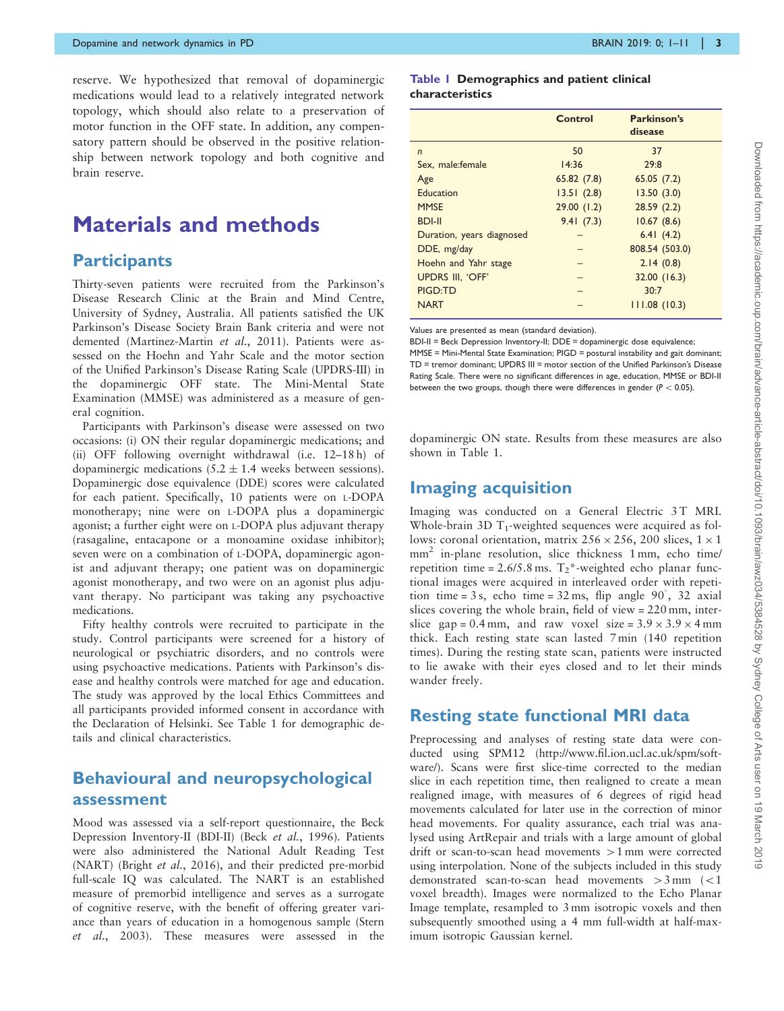reserve. We hypothesized that removal of dopaminergic medications would lead to a relatively integrated network topology, which should also relate to a preservation of motor function in the OFF state. In addition, any compensatory pattern should be observed in the positive relationship between network topology and both cognitive and brain reserve.

# Materials and methods

### **Participants**

Thirty-seven patients were recruited from the Parkinson's Disease Research Clinic at the Brain and Mind Centre, University of Sydney, Australia. All patients satisfied the UK Parkinson's Disease Society Brain Bank criteria and were not demented ([Martinez-Martin](#page-10-0) et al., 2011). Patients were assessed on the Hoehn and Yahr Scale and the motor section of the Unified Parkinson's Disease Rating Scale (UPDRS-III) in the dopaminergic OFF state. The Mini-Mental State Examination (MMSE) was administered as a measure of general cognition.

Participants with Parkinson's disease were assessed on two occasions: (i) ON their regular dopaminergic medications; and (ii) OFF following overnight withdrawal (i.e. 12–18 h) of dopaminergic medications  $(5.2 \pm 1.4$  weeks between sessions). Dopaminergic dose equivalence (DDE) scores were calculated for each patient. Specifically, 10 patients were on L-DOPA monotherapy; nine were on L-DOPA plus a dopaminergic agonist; a further eight were on L-DOPA plus adjuvant therapy (rasagaline, entacapone or a monoamine oxidase inhibitor); seven were on a combination of L-DOPA, dopaminergic agonist and adjuvant therapy; one patient was on dopaminergic agonist monotherapy, and two were on an agonist plus adjuvant therapy. No participant was taking any psychoactive medications.

Fifty healthy controls were recruited to participate in the study. Control participants were screened for a history of neurological or psychiatric disorders, and no controls were using psychoactive medications. Patients with Parkinson's disease and healthy controls were matched for age and education. The study was approved by the local Ethics Committees and all participants provided informed consent in accordance with the Declaration of Helsinki. See Table 1 for demographic details and clinical characteristics.

# Behavioural and neuropsychological assessment

Mood was assessed via a self-report questionnaire, the Beck Depression Inventory-II (BDI-II) (Beck et al.[, 1996\)](#page-9-0). Patients were also administered the National Adult Reading Test (NART) (Bright et al.[, 2016](#page-9-0)), and their predicted pre-morbid full-scale IQ was calculated. The NART is an established measure of premorbid intelligence and serves as a surrogate of cognitive reserve, with the benefit of offering greater variance than years of education in a homogenous sample ([Stern](#page-10-0) et al.[, 2003\)](#page-10-0). These measures were assessed in the

#### Table 1 Demographics and patient clinical characteristics

|                           | Control    | Parkinson's<br>disease |
|---------------------------|------------|------------------------|
| $\mathsf{n}$              | 50         | 37                     |
| Sex. male: female         | 14:36      | 29:8                   |
| Age                       | 65.82(7.8) | 65.05(7.2)             |
| Education                 | 13.51(2.8) | 13.50(3.0)             |
| <b>MMSE</b>               | 29.00(1.2) | 28.59(2.2)             |
| <b>BDI-II</b>             | 9.41(7.3)  | 10.67(8.6)             |
| Duration, years diagnosed |            | 6.41(4.2)              |
| DDE, mg/day               |            | 808.54 (503.0)         |
| Hoehn and Yahr stage      |            | 2.14(0.8)              |
| <b>UPDRS III. 'OFF'</b>   |            | 32.00 (16.3)           |
| PIGD:TD                   |            | 30:7                   |
| <b>NART</b>               |            | 111.08(10.3)           |

Values are presented as mean (standard deviation).

BDI-II = Beck Depression Inventory-II; DDE = dopaminergic dose equivalence; MMSE = Mini-Mental State Examination; PIGD = postural instability and gait dominant; TD = tremor dominant; UPDRS III = motor section of the Unified Parkinson's Disease Rating Scale. There were no significant differences in age, education, MMSE or BDI-II between the two groups, though there were differences in gender ( $P < 0.05$ ).

dopaminergic ON state. Results from these measures are also shown in Table 1.

# Imaging acquisition

Imaging was conducted on a General Electric 3T MRI. Whole-brain 3D  $T_1$ -weighted sequences were acquired as follows: coronal orientation, matrix  $256 \times 256$ , 200 slices,  $1 \times 1$ mm<sup>2</sup> in-plane resolution, slice thickness 1 mm, echo time/ repetition time =  $2.6/5.8$  ms.  $T_2$ \*-weighted echo planar functional images were acquired in interleaved order with repetition time = 3 s, echo time =  $32 \text{ ms}$ , flip angle  $90^\circ$ ,  $32 \text{ axial}$ slices covering the whole brain, field of view = 220 mm, interslice gap = 0.4 mm, and raw voxel size =  $3.9 \times 3.9 \times 4$  mm thick. Each resting state scan lasted 7 min (140 repetition times). During the resting state scan, patients were instructed to lie awake with their eyes closed and to let their minds wander freely.

# Resting state functional MRI data

Preprocessing and analyses of resting state data were conducted using SPM12 ([http://www.fil.ion.ucl.ac.uk/spm/soft](http://www.fil.ion.ucl.ac.uk/spm/software/)[ware/\)](http://www.fil.ion.ucl.ac.uk/spm/software/). Scans were first slice-time corrected to the median slice in each repetition time, then realigned to create a mean realigned image, with measures of 6 degrees of rigid head movements calculated for later use in the correction of minor head movements. For quality assurance, each trial was analysed using ArtRepair and trials with a large amount of global drift or scan-to-scan head movements  $>1$  mm were corrected using interpolation. None of the subjects included in this study demonstrated scan-to-scan head movements  $>3$  mm ( $<1$ ) voxel breadth). Images were normalized to the Echo Planar Image template, resampled to 3 mm isotropic voxels and then subsequently smoothed using a 4 mm full-width at half-maximum isotropic Gaussian kernel.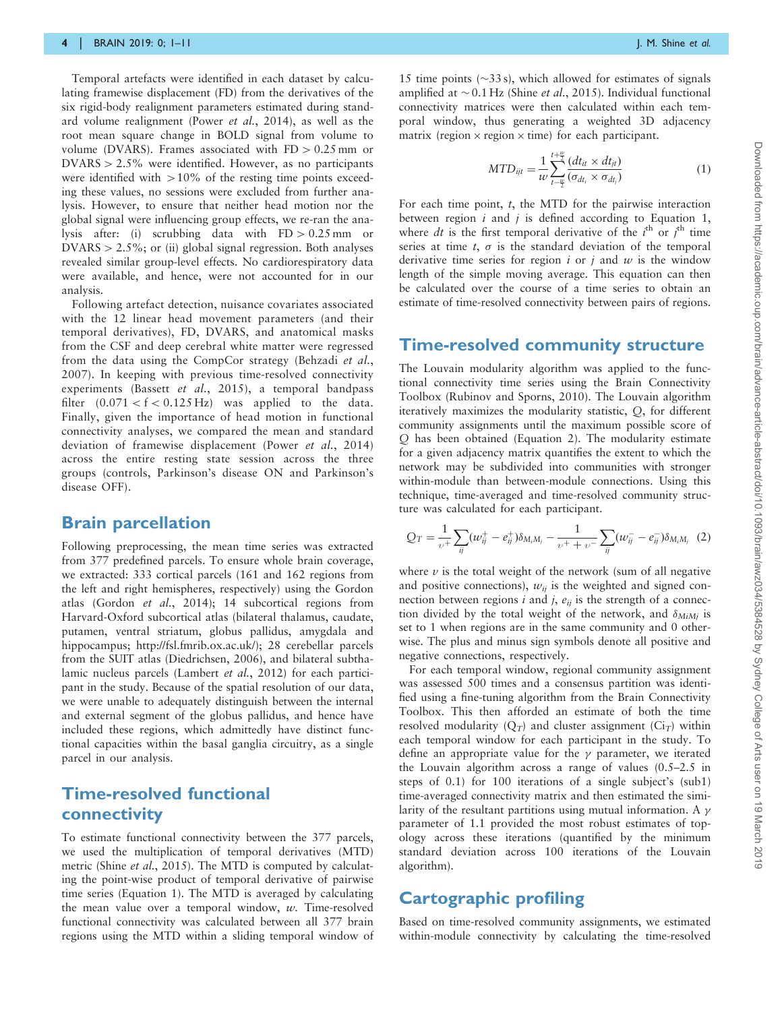Temporal artefacts were identified in each dataset by calculating framewise displacement (FD) from the derivatives of the six rigid-body realignment parameters estimated during standard volume realignment (Power et al.[, 2014](#page-10-0)), as well as the root mean square change in BOLD signal from volume to volume (DVARS). Frames associated with  $FD > 0.25$  mm or  $DVARS > 2.5\%$  were identified. However, as no participants were identified with  $>10\%$  of the resting time points exceeding these values, no sessions were excluded from further analysis. However, to ensure that neither head motion nor the global signal were influencing group effects, we re-ran the analysis after: (i) scrubbing data with  $FD > 0.25$  mm or  $DVARS > 2.5\%$ ; or (ii) global signal regression. Both analyses revealed similar group-level effects. No cardiorespiratory data were available, and hence, were not accounted for in our analysis.

Following artefact detection, nuisance covariates associated with the 12 linear head movement parameters (and their temporal derivatives), FD, DVARS, and anatomical masks from the CSF and deep cerebral white matter were regressed from the data using the CompCor strategy [\(Behzadi](#page-9-0) et al., [2007\)](#page-9-0). In keeping with previous time-resolved connectivity experiments (Bassett et al.[, 2015](#page-9-0)), a temporal bandpass filter  $(0.071 < f < 0.125 \text{ Hz})$  was applied to the data. Finally, given the importance of head motion in functional connectivity analyses, we compared the mean and standard deviation of framewise displacement (Power et al.[, 2014](#page-10-0)) across the entire resting state session across the three groups (controls, Parkinson's disease ON and Parkinson's disease OFF).

### Brain parcellation

Following preprocessing, the mean time series was extracted from 377 predefined parcels. To ensure whole brain coverage, we extracted: 333 cortical parcels (161 and 162 regions from the left and right hemispheres, respectively) using the Gordon atlas [\(Gordon](#page-10-0) et al., 2014); 14 subcortical regions from Harvard-Oxford subcortical atlas (bilateral thalamus, caudate, putamen, ventral striatum, globus pallidus, amygdala and hippocampus; [http://fsl.fmrib.ox.ac.uk/\)](http://fsl.fmrib.ox.ac.uk/); 28 cerebellar parcels from the SUIT atlas ([Diedrichsen, 2006\)](#page-9-0), and bilateral subthalamic nucleus parcels ([Lambert](#page-10-0) et al., 2012) for each participant in the study. Because of the spatial resolution of our data, we were unable to adequately distinguish between the internal and external segment of the globus pallidus, and hence have included these regions, which admittedly have distinct functional capacities within the basal ganglia circuitry, as a single parcel in our analysis.

# Time-resolved functional connectivity

To estimate functional connectivity between the 377 parcels, we used the multiplication of temporal derivatives (MTD) metric (Shine *et al.*[, 2015](#page-10-0)). The MTD is computed by calculating the point-wise product of temporal derivative of pairwise time series (Equation 1). The MTD is averaged by calculating the mean value over a temporal window,  $w$ . Time-resolved functional connectivity was calculated between all 377 brain regions using the MTD within a sliding temporal window of

15 time points ( $\sim$ 33 s), which allowed for estimates of signals amplified at  $\sim$  0.1 Hz (Shine *et al.*[, 2015](#page-10-0)). Individual functional connectivity matrices were then calculated within each temporal window, thus generating a weighted 3D adjacency matrix (region  $\times$  region  $\times$  time) for each participant.

$$
MTD_{ijt} = \frac{1}{w} \sum_{t=\frac{w}{2}}^{t+\frac{w}{2}} \frac{(dt_{it} \times dt_{jt})}{(\sigma_{dt_i} \times \sigma_{dt_j})}
$$
(1)

For each time point,  $t$ , the MTD for the pairwise interaction between region  $i$  and  $j$  is defined according to Equation 1, where dt is the first temporal derivative of the  $i^{\text{th}}$  or  $j^{\text{th}}$  time series at time  $t$ ,  $\sigma$  is the standard deviation of the temporal derivative time series for region  $i$  or  $j$  and  $w$  is the window length of the simple moving average. This equation can then be calculated over the course of a time series to obtain an estimate of time-resolved connectivity between pairs of regions.

#### Time-resolved community structure

The Louvain modularity algorithm was applied to the functional connectivity time series using the Brain Connectivity Toolbox [\(Rubinov and Sporns, 2010](#page-10-0)). The Louvain algorithm iteratively maximizes the modularity statistic, Q, for different community assignments until the maximum possible score of Q has been obtained (Equation 2). The modularity estimate for a given adjacency matrix quantifies the extent to which the network may be subdivided into communities with stronger within-module than between-module connections. Using this technique, time-averaged and time-resolved community structure was calculated for each participant.

$$
Q_T = \frac{1}{\nu^+} \sum_{ij} (w_{ij}^+ - e_{ij}^+) \delta_{M_i M_j} - \frac{1}{\nu^+ + \nu^-} \sum_{ij} (w_{ij}^- - e_{ij}^-) \delta_{M_i M_j} \tag{2}
$$

where  $\nu$  is the total weight of the network (sum of all negative and positive connections),  $w_{ii}$  is the weighted and signed connection between regions i and j,  $e_{ij}$  is the strength of a connection divided by the total weight of the network, and  $\delta_{M i M j}$  is set to 1 when regions are in the same community and 0 otherwise. The plus and minus sign symbols denote all positive and negative connections, respectively.

For each temporal window, regional community assignment was assessed 500 times and a consensus partition was identified using a fine-tuning algorithm from the Brain Connectivity Toolbox. This then afforded an estimate of both the time resolved modularity  $(Q_T)$  and cluster assignment  $(Ci_T)$  within each temporal window for each participant in the study. To define an appropriate value for the  $\gamma$  parameter, we iterated the Louvain algorithm across a range of values (0.5–2.5 in steps of 0.1) for 100 iterations of a single subject's (sub1) time-averaged connectivity matrix and then estimated the similarity of the resultant partitions using mutual information. A  $\gamma$ parameter of 1.1 provided the most robust estimates of topology across these iterations (quantified by the minimum standard deviation across 100 iterations of the Louvain algorithm).

## Cartographic profiling

Based on time-resolved community assignments, we estimated within-module connectivity by calculating the time-resolved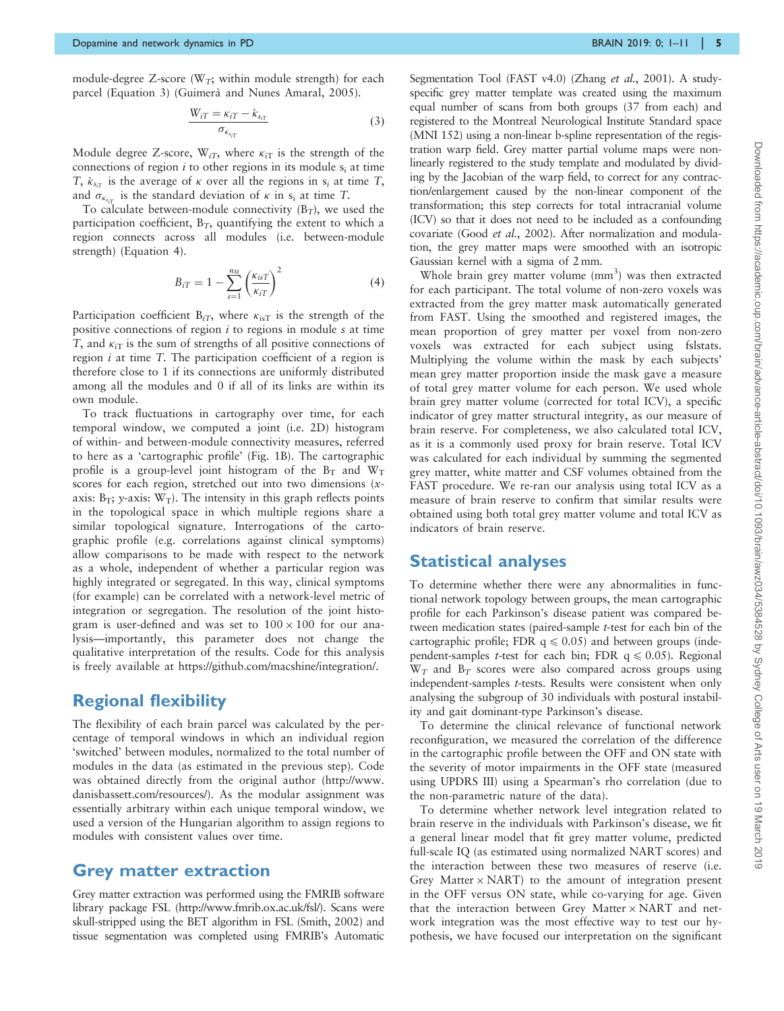module-degree Z-score ( $W_T$ ; within module strength) for each parcel (Equation 3) (Guimerà [and Nunes Amaral, 2005](#page-10-0)).

$$
\frac{W_{iT} = \kappa_{iT} - \kappa_{s_{iT}}}{\sigma_{\kappa_{s_{iT}}}}
$$
(3)

Module degree Z-score,  $W_{iT}$ , where  $\kappa_{iT}$  is the strength of the connections of region  $i$  to other regions in its module  $s_i$  at time T,  $\kappa_{s_{iT}}$  is the average of  $\kappa$  over all the regions in  $s_i$  at time T, and  $\sigma_{\kappa_{s_{iT}}}$  is the standard deviation of  $\kappa$  in s<sub>i</sub> at time T.

To calculate between-module connectivity  $(B_T)$ , we used the participation coefficient,  $B_T$ , quantifying the extent to which a region connects across all modules (i.e. between-module strength) (Equation 4).

$$
B_{iT} = 1 - \sum_{s=1}^{n_M} \left(\frac{\kappa_{isT}}{\kappa_{iT}}\right)^2 \tag{4}
$$

Participation coefficient  $B_{iT}$ , where  $\kappa_{iST}$  is the strength of the positive connections of region  $i$  to regions in module  $s$  at time T, and  $\kappa_{iT}$  is the sum of strengths of all positive connections of region  $i$  at time  $T$ . The participation coefficient of a region is therefore close to 1 if its connections are uniformly distributed among all the modules and 0 if all of its links are within its own module.

To track fluctuations in cartography over time, for each temporal window, we computed a joint (i.e. 2D) histogram of within- and between-module connectivity measures, referred to here as a 'cartographic profile' [\(Fig. 1](#page-5-0)B). The cartographic profile is a group-level joint histogram of the  $B_T$  and  $W_T$ scores for each region, stretched out into two dimensions  $(x$ axis:  $B_T$ ; y-axis:  $W_T$ ). The intensity in this graph reflects points in the topological space in which multiple regions share a similar topological signature. Interrogations of the cartographic profile (e.g. correlations against clinical symptoms) allow comparisons to be made with respect to the network as a whole, independent of whether a particular region was highly integrated or segregated. In this way, clinical symptoms (for example) can be correlated with a network-level metric of integration or segregation. The resolution of the joint histogram is user-defined and was set to  $100 \times 100$  for our analysis—importantly, this parameter does not change the qualitative interpretation of the results. Code for this analysis is freely available at [https://github.com/macshine/integration/.](https://github.com/macshine/integration/)

# Regional flexibility

The flexibility of each brain parcel was calculated by the percentage of temporal windows in which an individual region 'switched' between modules, normalized to the total number of modules in the data (as estimated in the previous step). Code was obtained directly from the original author [\(http://www.](http://www.danisbassett.com/resources/) [danisbassett.com/resources/\)](http://www.danisbassett.com/resources/). As the modular assignment was essentially arbitrary within each unique temporal window, we used a version of the Hungarian algorithm to assign regions to modules with consistent values over time.

#### Grey matter extraction

Grey matter extraction was performed using the FMRIB software library package FSL ([http://www.fmrib.ox.ac.uk/fsl/\)](http://www.fmrib.ox.ac.uk/fsl/). Scans were skull-stripped using the BET algorithm in FSL [\(Smith, 2002\)](#page-10-0) and tissue segmentation was completed using FMRIB's Automatic

Segmentation Tool (FAST v4.0) (Zhang et al.[, 2001](#page-10-0)). A studyspecific grey matter template was created using the maximum equal number of scans from both groups (37 from each) and registered to the Montreal Neurological Institute Standard space (MNI 152) using a non-linear b-spline representation of the registration warp field. Grey matter partial volume maps were nonlinearly registered to the study template and modulated by dividing by the Jacobian of the warp field, to correct for any contraction/enlargement caused by the non-linear component of the transformation; this step corrects for total intracranial volume (ICV) so that it does not need to be included as a confounding covariate (Good et al.[, 2002](#page-9-0)). After normalization and modulation, the grey matter maps were smoothed with an isotropic Gaussian kernel with a sigma of 2 mm.

Whole brain grey matter volume  $(nm<sup>3</sup>)$  was then extracted for each participant. The total volume of non-zero voxels was extracted from the grey matter mask automatically generated from FAST. Using the smoothed and registered images, the mean proportion of grey matter per voxel from non-zero voxels was extracted for each subject using fslstats. Multiplying the volume within the mask by each subjects' mean grey matter proportion inside the mask gave a measure of total grey matter volume for each person. We used whole brain grey matter volume (corrected for total ICV), a specific indicator of grey matter structural integrity, as our measure of brain reserve. For completeness, we also calculated total ICV, as it is a commonly used proxy for brain reserve. Total ICV was calculated for each individual by summing the segmented grey matter, white matter and CSF volumes obtained from the FAST procedure. We re-ran our analysis using total ICV as a measure of brain reserve to confirm that similar results were obtained using both total grey matter volume and total ICV as indicators of brain reserve.

#### Statistical analyses

To determine whether there were any abnormalities in functional network topology between groups, the mean cartographic profile for each Parkinson's disease patient was compared between medication states (paired-sample t-test for each bin of the cartographic profile; FDR  $q \le 0.05$ ) and between groups (independent-samples *t*-test for each bin; FDR  $q \le 0.05$ ). Regional  $W_T$  and  $B_T$  scores were also compared across groups using independent-samples t-tests. Results were consistent when only analysing the subgroup of 30 individuals with postural instability and gait dominant-type Parkinson's disease.

To determine the clinical relevance of functional network reconfiguration, we measured the correlation of the difference in the cartographic profile between the OFF and ON state with the severity of motor impairments in the OFF state (measured using UPDRS III) using a Spearman's rho correlation (due to the non-parametric nature of the data).

To determine whether network level integration related to brain reserve in the individuals with Parkinson's disease, we fit a general linear model that fit grey matter volume, predicted full-scale IQ (as estimated using normalized NART scores) and the interaction between these two measures of reserve (i.e. Grey Matter  $\times$  NART) to the amount of integration present in the OFF versus ON state, while co-varying for age. Given that the interaction between Grey Matter  $\times$  NART and network integration was the most effective way to test our hypothesis, we have focused our interpretation on the significant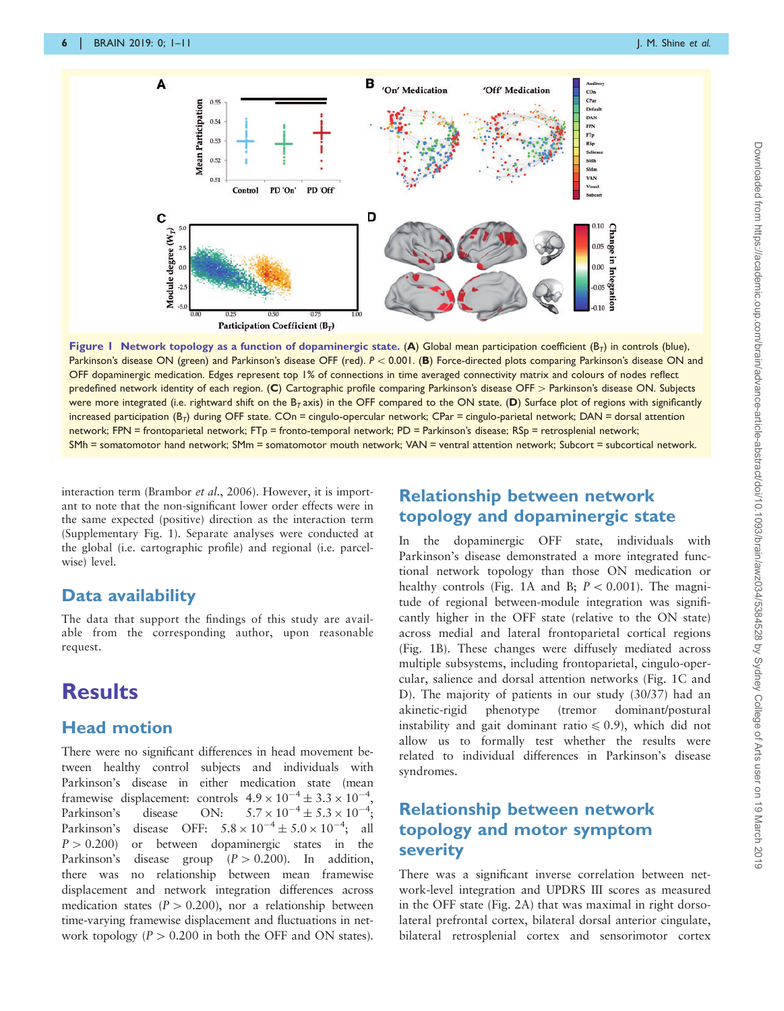<span id="page-5-0"></span>

Figure 1 Network topology as a function of dopaminergic state. (A) Global mean participation coefficient ( $B_T$ ) in controls (blue), Parkinson's disease ON (green) and Parkinson's disease OFF (red).  $P < 0.001$ . (B) Force-directed plots comparing Parkinson's disease ON and OFF dopaminergic medication. Edges represent top 1% of connections in time averaged connectivity matrix and colours of nodes reflect predefined network identity of each region. (C) Cartographic profile comparing Parkinson's disease OFF > Parkinson's disease ON. Subjects were more integrated (i.e. rightward shift on the B<sub>T</sub> axis) in the OFF compared to the ON state. (D) Surface plot of regions with significantly  $\frac{1}{10}$  increased participation (B<sub>T</sub>) during OFF state. COn = cingulo-opercular network; CPar = cingulo-parietal network; DAN = dorsal attention network; FPN = frontoparietal network; FTp = fronto-temporal network; PD = Parkinson's disease; RSp = retrosplenial network; SMh = somatomotor hand network; SMm = somatomotor mouth network; VAN = ventral attention network; Subcort = subcortical network.

interaction term ([Brambor](#page-9-0) et al., 2006). However, it is important to note that the non-significant lower order effects were in the same expected (positive) direction as the interaction term [\(Supplementary Fig. 1](https://academic.oup.com/brainj/article-lookup/doi/10.1093/brainj/awz034#supplementary-data)). Separate analyses were conducted at the global (i.e. cartographic profile) and regional (i.e. parcelwise) level.

### Data availability

The data that support the findings of this study are available from the corresponding author, upon reasonable request.

# **Results**

# Head motion

There were no significant differences in head movement between healthy control subjects and individuals with Parkinson's disease in either medication state (mean framewise displacement: controls  $4.9 \times 10^{-4} \pm 3.3 \times 10^{-4}$ , Parkinson's disease ON:  $5.7 \times 10^{-4} \pm 5.3 \times 10^{-4}$ ; Parkinson's disease OFF:  $5.8 \times 10^{-4} \pm 5.0 \times 10^{-4}$ ; all  $P > 0.200$  or between dopaminergic states in the Parkinson's disease group  $(P > 0.200)$ . In addition, there was no relationship between mean framewise displacement and network integration differences across medication states ( $P > 0.200$ ), nor a relationship between time-varying framewise displacement and fluctuations in network topology ( $P > 0.200$  in both the OFF and ON states).

# Relationship between network topology and dopaminergic state

In the dopaminergic OFF state, individuals with Parkinson's disease demonstrated a more integrated functional network topology than those ON medication or healthy controls (Fig. 1A and B;  $P < 0.001$ ). The magnitude of regional between-module integration was significantly higher in the OFF state (relative to the ON state) across medial and lateral frontoparietal cortical regions (Fig. 1B). These changes were diffusely mediated across multiple subsystems, including frontoparietal, cingulo-opercular, salience and dorsal attention networks (Fig. 1C and D). The majority of patients in our study (30/37) had an akinetic-rigid phenotype (tremor dominant/postural instability and gait dominant ratio  $\leq 0.9$ ), which did not allow us to formally test whether the results were related to individual differences in Parkinson's disease syndromes.

# Relationship between network topology and motor symptom severity

There was a significant inverse correlation between network-level integration and UPDRS III scores as measured in the OFF state [\(Fig. 2A](#page-6-0)) that was maximal in right dorsolateral prefrontal cortex, bilateral dorsal anterior cingulate, bilateral retrosplenial cortex and sensorimotor cortex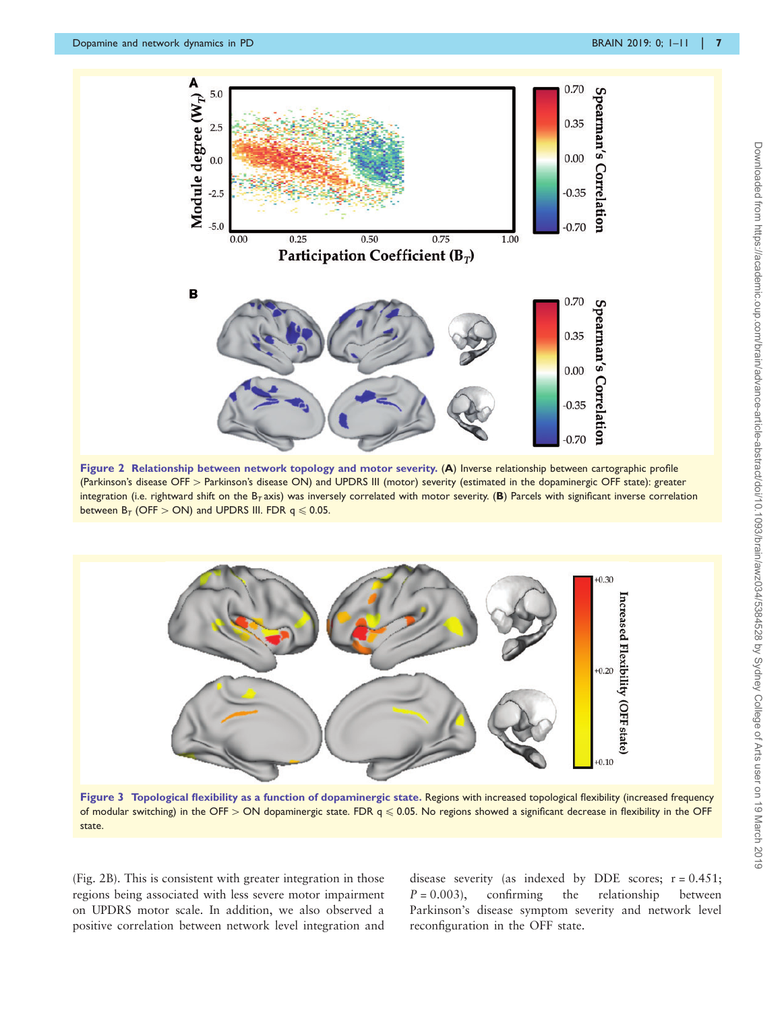<span id="page-6-0"></span>

Figure 2 Relationship between network topology and motor severity. (A) Inverse relationship between cartographic profile (Parkinson's disease OFF > Parkinson's disease ON) and UPDRS III (motor) severity (estimated in the dopaminergic OFF state): greater integration (i.e. rightward shift on the  $B_T$  axis) was inversely correlated with motor severity. (B) Parcels with significant inverse correlation between  $B_T$  (OFF  $>$  ON) and UPDRS III. FDR q  $\leq$  0.05.



Figure 3 Topological flexibility as a function of dopaminergic state. Regions with increased topological flexibility (increased frequency of modular switching) in the OFF > ON dopaminergic state. FDR  $q \le 0.05$ . No regions showed a significant decrease in flexibility in the OFF state.

(Fig. 2B). This is consistent with greater integration in those regions being associated with less severe motor impairment on UPDRS motor scale. In addition, we also observed a positive correlation between network level integration and disease severity (as indexed by DDE scores;  $r = 0.451$ ;  $P = 0.003$ , confirming the relationship between Parkinson's disease symptom severity and network level reconfiguration in the OFF state.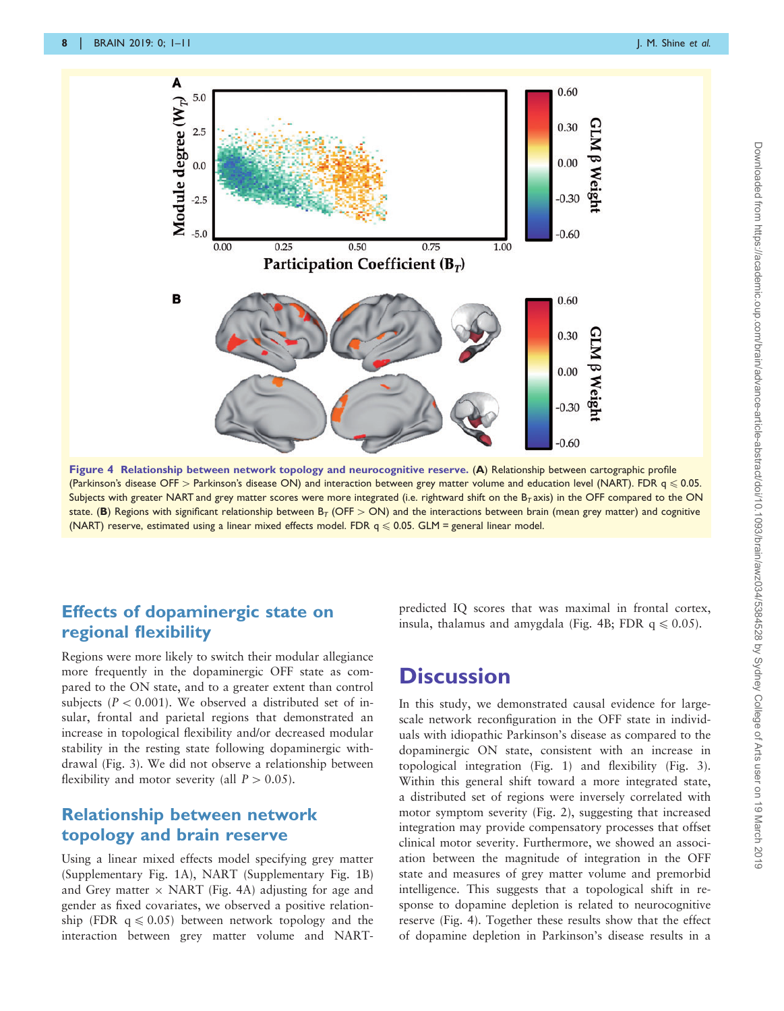

Figure 4 Relationship between network topology and neurocognitive reserve. (A) Relationship between cartographic profile (Parkinson's disease OFF > Parkinson's disease ON) and interaction between grey matter volume and education level (NART). FDR  $q \le 0.05$ . Subjects with greater NART and grey matter scores were more integrated (i.e. rightward shift on the  $B<sub>T</sub>$  axis) in the OFF compared to the ON state. (B) Regions with significant relationship between  $B_T$  (OFF  $>$  ON) and the interactions between brain (mean grey matter) and cognitive (NART) reserve, estimated using a linear mixed effects model. FDR  $q \le 0.05$ . GLM = general linear model.

# Effects of dopaminergic state on regional flexibility

Regions were more likely to switch their modular allegiance more frequently in the dopaminergic OFF state as compared to the ON state, and to a greater extent than control subjects ( $P < 0.001$ ). We observed a distributed set of insular, frontal and parietal regions that demonstrated an increase in topological flexibility and/or decreased modular stability in the resting state following dopaminergic withdrawal ([Fig. 3](#page-6-0)). We did not observe a relationship between flexibility and motor severity (all  $P > 0.05$ ).

### Relationship between network topology and brain reserve

Using a linear mixed effects model specifying grey matter [\(Supplementary Fig. 1](https://academic.oup.com/brainj/article-lookup/doi/10.1093/brainj/awz034#supplementary-data)A), NART [\(Supplementary Fig. 1](https://academic.oup.com/brainj/article-lookup/doi/10.1093/brainj/awz034#supplementary-data)B) and Grey matter  $\times$  NART (Fig. 4A) adjusting for age and gender as fixed covariates, we observed a positive relationship (FDR  $q \le 0.05$ ) between network topology and the interaction between grey matter volume and NART-

predicted IQ scores that was maximal in frontal cortex, insula, thalamus and amygdala (Fig. 4B; FDR  $q \le 0.05$ ).

# **Discussion**

In this study, we demonstrated causal evidence for largescale network reconfiguration in the OFF state in individuals with idiopathic Parkinson's disease as compared to the dopaminergic ON state, consistent with an increase in topological integration ([Fig. 1\)](#page-5-0) and flexibility ([Fig. 3](#page-6-0)). Within this general shift toward a more integrated state, a distributed set of regions were inversely correlated with motor symptom severity ([Fig. 2\)](#page-6-0), suggesting that increased integration may provide compensatory processes that offset clinical motor severity. Furthermore, we showed an association between the magnitude of integration in the OFF state and measures of grey matter volume and premorbid intelligence. This suggests that a topological shift in response to dopamine depletion is related to neurocognitive reserve (Fig. 4). Together these results show that the effect of dopamine depletion in Parkinson's disease results in a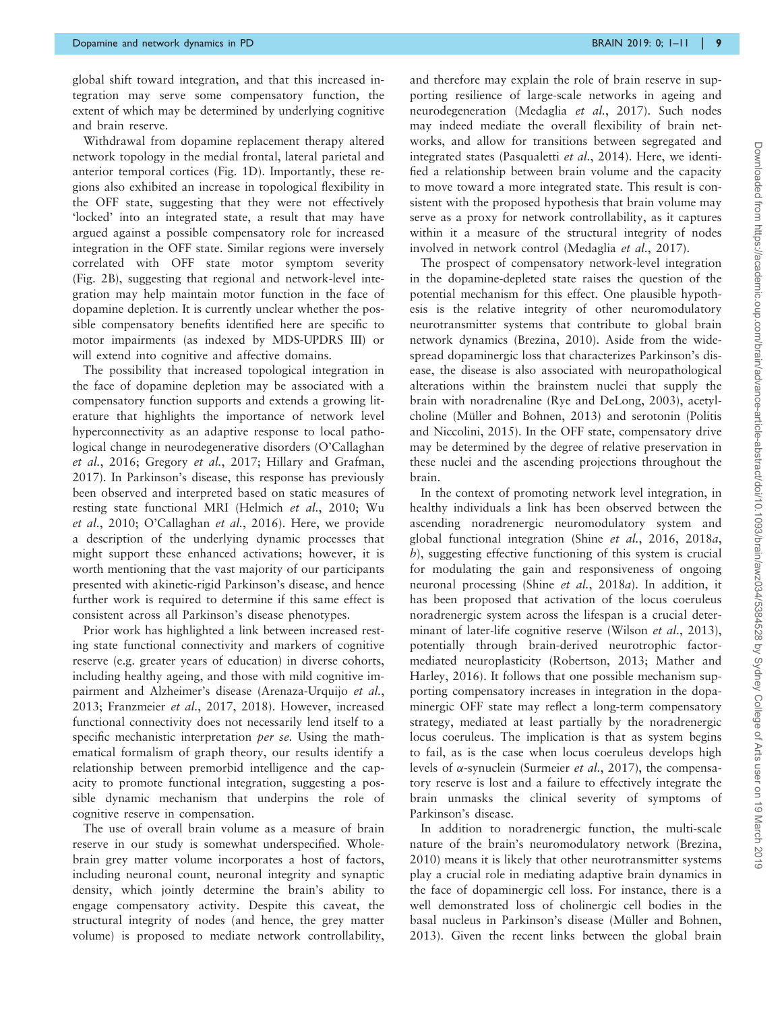global shift toward integration, and that this increased integration may serve some compensatory function, the extent of which may be determined by underlying cognitive and brain reserve.

Withdrawal from dopamine replacement therapy altered network topology in the medial frontal, lateral parietal and anterior temporal cortices [\(Fig. 1](#page-5-0)D). Importantly, these regions also exhibited an increase in topological flexibility in the OFF state, suggesting that they were not effectively 'locked' into an integrated state, a result that may have argued against a possible compensatory role for increased integration in the OFF state. Similar regions were inversely correlated with OFF state motor symptom severity ([Fig. 2](#page-6-0)B), suggesting that regional and network-level integration may help maintain motor function in the face of dopamine depletion. It is currently unclear whether the possible compensatory benefits identified here are specific to motor impairments (as indexed by MDS-UPDRS III) or will extend into cognitive and affective domains.

The possibility that increased topological integration in the face of dopamine depletion may be associated with a compensatory function supports and extends a growing literature that highlights the importance of network level hyperconnectivity as an adaptive response to local pathological change in neurodegenerative disorders ([O'Callaghan](#page-10-0) et al.[, 2016](#page-10-0); [Gregory](#page-10-0) et al., 2017; [Hillary and Grafman,](#page-10-0) [2017\)](#page-10-0). In Parkinson's disease, this response has previously been observed and interpreted based on static measures of resting state functional MRI [\(Helmich](#page-10-0) et al., 2010; [Wu](#page-10-0) et al.[, 2010; O'Callaghan](#page-10-0) et al., 2016). Here, we provide a description of the underlying dynamic processes that might support these enhanced activations; however, it is worth mentioning that the vast majority of our participants presented with akinetic-rigid Parkinson's disease, and hence further work is required to determine if this same effect is consistent across all Parkinson's disease phenotypes.

Prior work has highlighted a link between increased resting state functional connectivity and markers of cognitive reserve (e.g. greater years of education) in diverse cohorts, including healthy ageing, and those with mild cognitive impairment and Alzheimer's disease [\(Arenaza-Urquijo](#page-9-0) et al., [2013; Franzmeier](#page-9-0) et al., 2017, [2018\)](#page-9-0). However, increased functional connectivity does not necessarily lend itself to a specific mechanistic interpretation *per se*. Using the mathematical formalism of graph theory, our results identify a relationship between premorbid intelligence and the capacity to promote functional integration, suggesting a possible dynamic mechanism that underpins the role of cognitive reserve in compensation.

The use of overall brain volume as a measure of brain reserve in our study is somewhat underspecified. Wholebrain grey matter volume incorporates a host of factors, including neuronal count, neuronal integrity and synaptic density, which jointly determine the brain's ability to engage compensatory activity. Despite this caveat, the structural integrity of nodes (and hence, the grey matter volume) is proposed to mediate network controllability, and therefore may explain the role of brain reserve in supporting resilience of large-scale networks in ageing and neurodegeneration ([Medaglia](#page-10-0) et al., 2017). Such nodes may indeed mediate the overall flexibility of brain networks, and allow for transitions between segregated and integrated states [\(Pasqualetti](#page-10-0) et al., 2014). Here, we identified a relationship between brain volume and the capacity to move toward a more integrated state. This result is consistent with the proposed hypothesis that brain volume may serve as a proxy for network controllability, as it captures within it a measure of the structural integrity of nodes involved in network control ([Medaglia](#page-10-0) et al., 2017).

The prospect of compensatory network-level integration in the dopamine-depleted state raises the question of the potential mechanism for this effect. One plausible hypothesis is the relative integrity of other neuromodulatory neurotransmitter systems that contribute to global brain network dynamics ([Brezina, 2010](#page-9-0)). Aside from the widespread dopaminergic loss that characterizes Parkinson's disease, the disease is also associated with neuropathological alterations within the brainstem nuclei that supply the brain with noradrenaline ([Rye and DeLong, 2003\)](#page-10-0), acetylcholine (Mü[ller and Bohnen, 2013](#page-10-0)) and serotonin ([Politis](#page-10-0) [and Niccolini, 2015](#page-10-0)). In the OFF state, compensatory drive may be determined by the degree of relative preservation in these nuclei and the ascending projections throughout the brain.

In the context of promoting network level integration, in healthy individuals a link has been observed between the ascending noradrenergic neuromodulatory system and global functional integration (Shine et al.[, 2016, 2018](#page-10-0)a,  $b$ ), suggesting effective functioning of this system is crucial for modulating the gain and responsiveness of ongoing neuronal processing (Shine et al.[, 2018](#page-10-0)a). In addition, it has been proposed that activation of the locus coeruleus noradrenergic system across the lifespan is a crucial deter-minant of later-life cognitive reserve ([Wilson](#page-10-0) *et al.*, 2013), potentially through brain-derived neurotrophic factormediated neuroplasticity [\(Robertson, 2013](#page-10-0); [Mather and](#page-10-0) [Harley, 2016\)](#page-10-0). It follows that one possible mechanism supporting compensatory increases in integration in the dopaminergic OFF state may reflect a long-term compensatory strategy, mediated at least partially by the noradrenergic locus coeruleus. The implication is that as system begins to fail, as is the case when locus coeruleus develops high levels of  $\alpha$ -synuclein ([Surmeier](#page-10-0) *et al.*, 2017), the compensatory reserve is lost and a failure to effectively integrate the brain unmasks the clinical severity of symptoms of Parkinson's disease.

In addition to noradrenergic function, the multi-scale nature of the brain's neuromodulatory network ([Brezina,](#page-9-0) [2010](#page-9-0)) means it is likely that other neurotransmitter systems play a crucial role in mediating adaptive brain dynamics in the face of dopaminergic cell loss. For instance, there is a well demonstrated loss of cholinergic cell bodies in the basal nucleus in Parkinson's disease (Mü[ller and Bohnen,](#page-10-0) [2013](#page-10-0)). Given the recent links between the global brain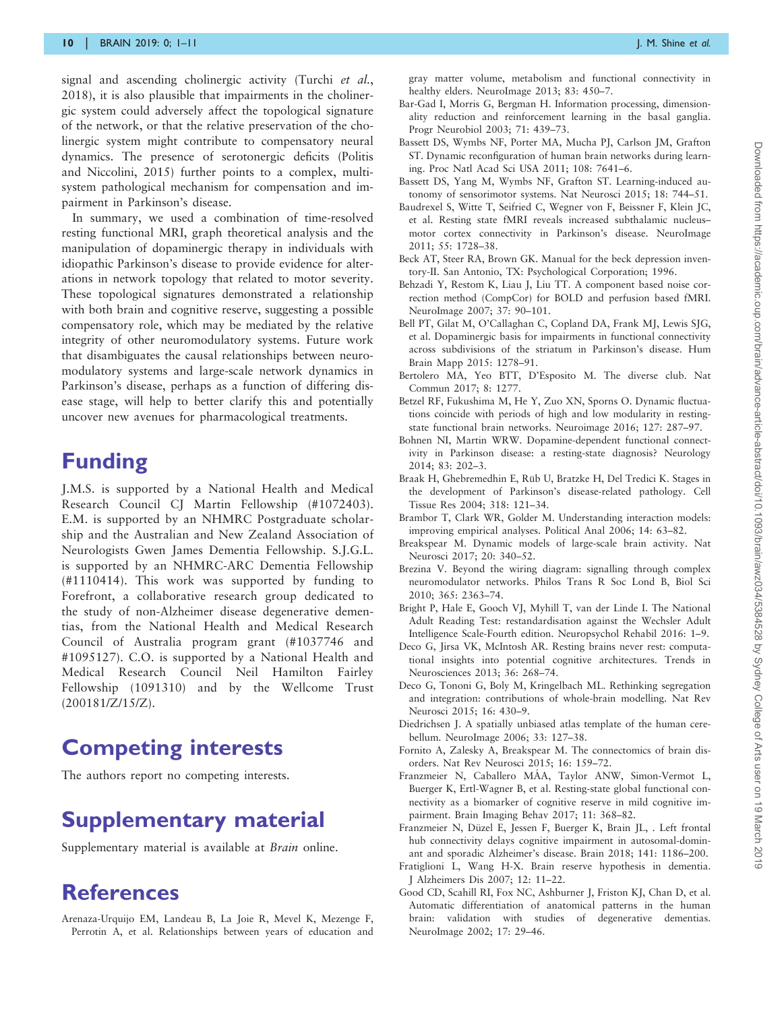<span id="page-9-0"></span>signal and ascending cholinergic activity [\(Turchi](#page-10-0) et al., [2018](#page-10-0)), it is also plausible that impairments in the cholinergic system could adversely affect the topological signature of the network, or that the relative preservation of the cholinergic system might contribute to compensatory neural dynamics. The presence of serotonergic deficits [\(Politis](#page-10-0) [and Niccolini, 2015](#page-10-0)) further points to a complex, multisystem pathological mechanism for compensation and impairment in Parkinson's disease.

In summary, we used a combination of time-resolved resting functional MRI, graph theoretical analysis and the manipulation of dopaminergic therapy in individuals with idiopathic Parkinson's disease to provide evidence for alterations in network topology that related to motor severity. These topological signatures demonstrated a relationship with both brain and cognitive reserve, suggesting a possible compensatory role, which may be mediated by the relative integrity of other neuromodulatory systems. Future work that disambiguates the causal relationships between neuromodulatory systems and large-scale network dynamics in Parkinson's disease, perhaps as a function of differing disease stage, will help to better clarify this and potentially uncover new avenues for pharmacological treatments.

# Funding

J.M.S. is supported by a National Health and Medical Research Council CJ Martin Fellowship (#1072403). E.M. is supported by an NHMRC Postgraduate scholarship and the Australian and New Zealand Association of Neurologists Gwen James Dementia Fellowship. S.J.G.L. is supported by an NHMRC-ARC Dementia Fellowship (#1110414). This work was supported by funding to Forefront, a collaborative research group dedicated to the study of non-Alzheimer disease degenerative dementias, from the National Health and Medical Research Council of Australia program grant (#1037746 and #1095127). C.O. is supported by a National Health and Medical Research Council Neil Hamilton Fairley Fellowship (1091310) and by the Wellcome Trust (200181/Z/15/Z).

# Competing interests

The authors report no competing interests.

# Supplementary material

[Supplementary material](https://academic.oup.com/brainj/article-lookup/doi/10.1093/brainj/awz034#supplementary-data) is available at Brain online.

# References

Arenaza-Urquijo EM, Landeau B, La Joie R, Mevel K, Mezenge F, Perrotin A, et al. Relationships between years of education and gray matter volume, metabolism and functional connectivity in healthy elders. NeuroImage 2013; 83: 450-7.

- Bar-Gad I, Morris G, Bergman H. Information processing, dimensionality reduction and reinforcement learning in the basal ganglia. Progr Neurobiol 2003; 71: 439–73.
- Bassett DS, Wymbs NF, Porter MA, Mucha PJ, Carlson JM, Grafton ST. Dynamic reconfiguration of human brain networks during learning. Proc Natl Acad Sci USA 2011; 108: 7641–6.
- Bassett DS, Yang M, Wymbs NF, Grafton ST. Learning-induced autonomy of sensorimotor systems. Nat Neurosci 2015; 18: 744–51.
- Baudrexel S, Witte T, Seifried C, Wegner von F, Beissner F, Klein JC, et al. Resting state fMRI reveals increased subthalamic nucleus– motor cortex connectivity in Parkinson's disease. NeuroImage 2011; 55: 1728–38.
- Beck AT, Steer RA, Brown GK. Manual for the beck depression inventory-II. San Antonio, TX: Psychological Corporation; 1996.
- Behzadi Y, Restom K, Liau J, Liu TT. A component based noise correction method (CompCor) for BOLD and perfusion based fMRI. NeuroImage 2007; 37: 90–101.
- Bell PT, Gilat M, O'Callaghan C, Copland DA, Frank MJ, Lewis SJG, et al. Dopaminergic basis for impairments in functional connectivity across subdivisions of the striatum in Parkinson's disease. Hum Brain Mapp 2015: 1278–91.
- Bertolero MA, Yeo BTT, D'Esposito M. The diverse club. Nat Commun 2017; 8: 1277.
- Betzel RF, Fukushima M, He Y, Zuo XN, Sporns O. Dynamic fluctuations coincide with periods of high and low modularity in restingstate functional brain networks. Neuroimage 2016; 127: 287–97.
- Bohnen NI, Martin WRW. Dopamine-dependent functional connectivity in Parkinson disease: a resting-state diagnosis? Neurology 2014; 83: 202–3.
- Braak H, Ghebremedhin E, Rüb U, Bratzke H, Del Tredici K. Stages in the development of Parkinson's disease-related pathology. Cell Tissue Res 2004; 318: 121–34.
- Brambor T, Clark WR, Golder M. Understanding interaction models: improving empirical analyses. Political Anal 2006; 14: 63–82.
- Breakspear M. Dynamic models of large-scale brain activity. Nat Neurosci 2017; 20: 340–52.
- Brezina V. Beyond the wiring diagram: signalling through complex neuromodulator networks. Philos Trans R Soc Lond B, Biol Sci 2010; 365: 2363–74.
- Bright P, Hale E, Gooch VJ, Myhill T, van der Linde I. The National Adult Reading Test: restandardisation against the Wechsler Adult Intelligence Scale-Fourth edition. Neuropsychol Rehabil 2016: 1–9.
- Deco G, Jirsa VK, McIntosh AR. Resting brains never rest: computational insights into potential cognitive architectures. Trends in Neurosciences 2013; 36: 268–74.
- Deco G, Tononi G, Boly M, Kringelbach ML. Rethinking segregation and integration: contributions of whole-brain modelling. Nat Rev Neurosci 2015; 16: 430–9.
- Diedrichsen J. A spatially unbiased atlas template of the human cerebellum. NeuroImage 2006; 33: 127–38.
- Fornito A, Zalesky A, Breakspear M. The connectomics of brain disorders. Nat Rev Neurosci 2015; 16: 159–72.
- Franzmeier N, Caballero MÁA, Taylor ANW, Simon-Vermot L, Buerger K, Ertl-Wagner B, et al. Resting-state global functional connectivity as a biomarker of cognitive reserve in mild cognitive impairment. Brain Imaging Behav 2017; 11: 368–82.
- Franzmeier N, Düzel E, Jessen F, Buerger K, Brain JL, . Left frontal hub connectivity delays cognitive impairment in autosomal-dominant and sporadic Alzheimer's disease. Brain 2018; 141: 1186–200.
- Fratiglioni L, Wang H-X. Brain reserve hypothesis in dementia. J Alzheimers Dis 2007; 12: 11–22.
- Good CD, Scahill RI, Fox NC, Ashburner J, Friston KJ, Chan D, et al. Automatic differentiation of anatomical patterns in the human brain: validation with studies of degenerative dementias. NeuroImage 2002; 17: 29–46.